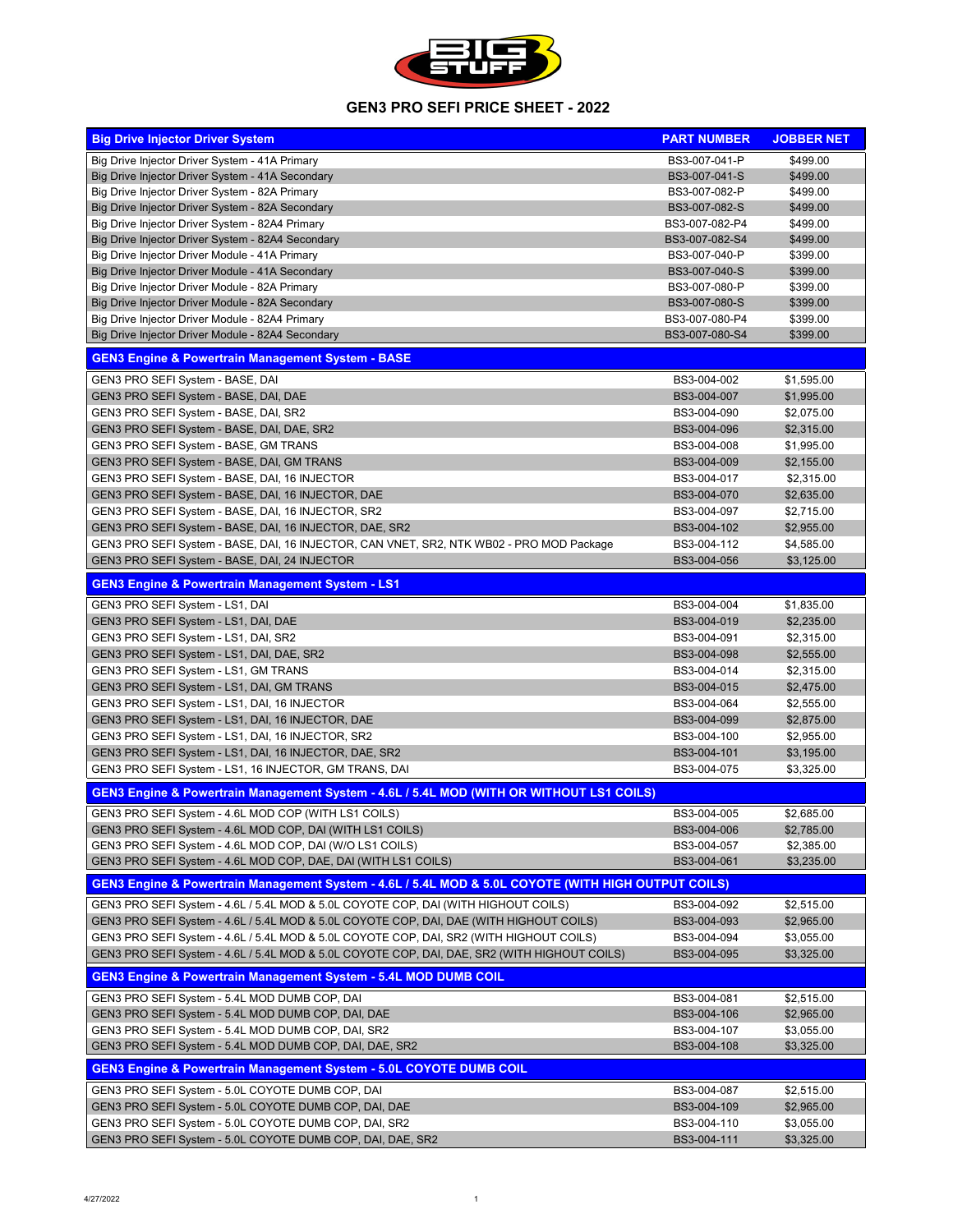| <b>Big Drive Injector Driver System</b>                                                             | <b>PART NUMBER</b> | <b>JOBBER NET</b> |
|-----------------------------------------------------------------------------------------------------|--------------------|-------------------|
| Big Drive Injector Driver System - 41A Primary                                                      | BS3-007-041-P      | \$499.00          |
| Big Drive Injector Driver System - 41A Secondary                                                    | BS3-007-041-S      | \$499.00          |
| Big Drive Injector Driver System - 82A Primary                                                      | BS3-007-082-P      | \$499.00          |
| Big Drive Injector Driver System - 82A Secondary                                                    | BS3-007-082-S      | \$499.00          |
| Big Drive Injector Driver System - 82A4 Primary                                                     | BS3-007-082-P4     | \$499.00          |
| Big Drive Injector Driver System - 82A4 Secondary                                                   | BS3-007-082-S4     | \$499.00          |
| Big Drive Injector Driver Module - 41A Primary                                                      | BS3-007-040-P      | \$399.00          |
| Big Drive Injector Driver Module - 41A Secondary                                                    | BS3-007-040-S      | \$399.00          |
| Big Drive Injector Driver Module - 82A Primary                                                      | BS3-007-080-P      | \$399.00          |
| Big Drive Injector Driver Module - 82A Secondary                                                    | BS3-007-080-S      | \$399.00          |
| Big Drive Injector Driver Module - 82A4 Primary                                                     | BS3-007-080-P4     | \$399.00          |
| Big Drive Injector Driver Module - 82A4 Secondary                                                   | BS3-007-080-S4     | \$399.00          |
| <b>GEN3 Engine &amp; Powertrain Management System - BASE</b>                                        |                    |                   |
| GEN3 PRO SEFI System - BASE, DAI                                                                    | BS3-004-002        | \$1,595.00        |
| GEN3 PRO SEFI System - BASE, DAI, DAE                                                               | BS3-004-007        | \$1,995.00        |
| GEN3 PRO SEFI System - BASE, DAI, SR2                                                               | BS3-004-090        | \$2,075.00        |
| GEN3 PRO SEFI System - BASE, DAI, DAE, SR2                                                          | BS3-004-096        | \$2,315.00        |
| GEN3 PRO SEFI System - BASE, GM TRANS                                                               | BS3-004-008        | \$1,995.00        |
| GEN3 PRO SEFI System - BASE, DAI, GM TRANS                                                          | BS3-004-009        | \$2,155.00        |
| GEN3 PRO SEFI System - BASE, DAI, 16 INJECTOR                                                       | BS3-004-017        | \$2,315.00        |
| GEN3 PRO SEFI System - BASE, DAI, 16 INJECTOR, DAE                                                  | BS3-004-070        | \$2,635.00        |
| GEN3 PRO SEFI System - BASE, DAI, 16 INJECTOR, SR2                                                  | BS3-004-097        | \$2,715.00        |
| GEN3 PRO SEFI System - BASE, DAI, 16 INJECTOR, DAE, SR2                                             | BS3-004-102        | \$2,955.00        |
| GEN3 PRO SEFI System - BASE, DAI, 16 INJECTOR, CAN VNET, SR2, NTK WB02 - PRO MOD Package            | BS3-004-112        | \$4,585.00        |
| GEN3 PRO SEFI System - BASE, DAI, 24 INJECTOR                                                       | BS3-004-056        | \$3,125.00        |
| <b>GEN3 Engine &amp; Powertrain Management System - LS1</b>                                         |                    |                   |
| GEN3 PRO SEFI System - LS1, DAI                                                                     | BS3-004-004        | \$1,835.00        |
| GEN3 PRO SEFI System - LS1, DAI, DAE                                                                | BS3-004-019        | \$2,235.00        |
| GEN3 PRO SEFI System - LS1, DAI, SR2                                                                | BS3-004-091        | \$2,315.00        |
| GEN3 PRO SEFI System - LS1, DAI, DAE, SR2                                                           | BS3-004-098        | \$2,555.00        |
| GEN3 PRO SEFI System - LS1, GM TRANS                                                                | BS3-004-014        | \$2,315.00        |
| GEN3 PRO SEFI System - LS1, DAI, GM TRANS                                                           | BS3-004-015        | \$2,475.00        |
| GEN3 PRO SEFI System - LS1, DAI, 16 INJECTOR                                                        | BS3-004-064        | \$2,555.00        |
| GEN3 PRO SEFI System - LS1, DAI, 16 INJECTOR, DAE                                                   | BS3-004-099        | \$2,875.00        |
| GEN3 PRO SEFI System - LS1, DAI, 16 INJECTOR, SR2                                                   | BS3-004-100        | \$2,955.00        |
| GEN3 PRO SEFI System - LS1, DAI, 16 INJECTOR, DAE, SR2                                              | BS3-004-101        | \$3,195.00        |
| GEN3 PRO SEFI System - LS1, 16 INJECTOR, GM TRANS, DAI                                              | BS3-004-075        | \$3,325.00        |
| <b>GEN3 Engine &amp; Powertrain Management System - 4.6L / 5.4L MOD (WITH OR WITHOUT LS1 COILS)</b> |                    |                   |
| GEN3 PRO SEFI System - 4.6L MOD COP (WITH LS1 COILS)                                                | BS3-004-005        | \$2,685.00        |
| GEN3 PRO SEFI System - 4.6L MOD COP, DAI (WITH LS1 COILS)                                           | BS3-004-006        | \$2,785.00        |
| GEN3 PRO SEFI System - 4.6L MOD COP, DAI (W/O LS1 COILS)                                            | BS3-004-057        | \$2,385.00        |
| GEN3 PRO SEFI System - 4.6L MOD COP, DAE, DAI (WITH LS1 COILS)                                      | BS3-004-061        | \$3,235.00        |
| GEN3 Engine & Powertrain Management System - 4.6L / 5.4L MOD & 5.0L COYOTE (WITH HIGH OUTPUT COILS) |                    |                   |
| GEN3 PRO SEFI System - 4.6L / 5.4L MOD & 5.0L COYOTE COP, DAI (WITH HIGHOUT COILS)                  | BS3-004-092        | \$2,515.00        |
| GEN3 PRO SEFI System - 4.6L / 5.4L MOD & 5.0L COYOTE COP, DAI, DAE (WITH HIGHOUT COILS)             | BS3-004-093        | \$2,965.00        |
| GEN3 PRO SEFI System - 4.6L / 5.4L MOD & 5.0L COYOTE COP, DAI, SR2 (WITH HIGHOUT COILS)             | BS3-004-094        | \$3,055.00        |
| GEN3 PRO SEFI System - 4.6L / 5.4L MOD & 5.0L COYOTE COP, DAI, DAE, SR2 (WITH HIGHOUT COILS)        | BS3-004-095        | \$3,325.00        |
| <b>GEN3 Engine &amp; Powertrain Management System - 5.4L MOD DUMB COIL</b>                          |                    |                   |
| GEN3 PRO SEFI System - 5.4L MOD DUMB COP, DAI                                                       | BS3-004-081        | \$2,515.00        |
| GEN3 PRO SEFI System - 5.4L MOD DUMB COP, DAI, DAE                                                  | BS3-004-106        | \$2,965.00        |
| GEN3 PRO SEFI System - 5.4L MOD DUMB COP, DAI, SR2                                                  | BS3-004-107        | \$3,055.00        |
| GEN3 PRO SEFI System - 5.4L MOD DUMB COP, DAI, DAE, SR2                                             | BS3-004-108        | \$3,325.00        |
| <b>GEN3 Engine &amp; Powertrain Management System - 5.0L COYOTE DUMB COIL</b>                       |                    |                   |
| GEN3 PRO SEFI System - 5.0L COYOTE DUMB COP, DAI                                                    | BS3-004-087        | \$2,515.00        |
| GEN3 PRO SEFI System - 5.0L COYOTE DUMB COP, DAI, DAE                                               | BS3-004-109        | \$2,965.00        |
| GEN3 PRO SEFI System - 5.0L COYOTE DUMB COP, DAI, SR2                                               | BS3-004-110        | \$3,055.00        |
| GEN3 PRO SEFI System - 5.0L COYOTE DUMB COP, DAI, DAE, SR2                                          | BS3-004-111        | \$3,325.00        |

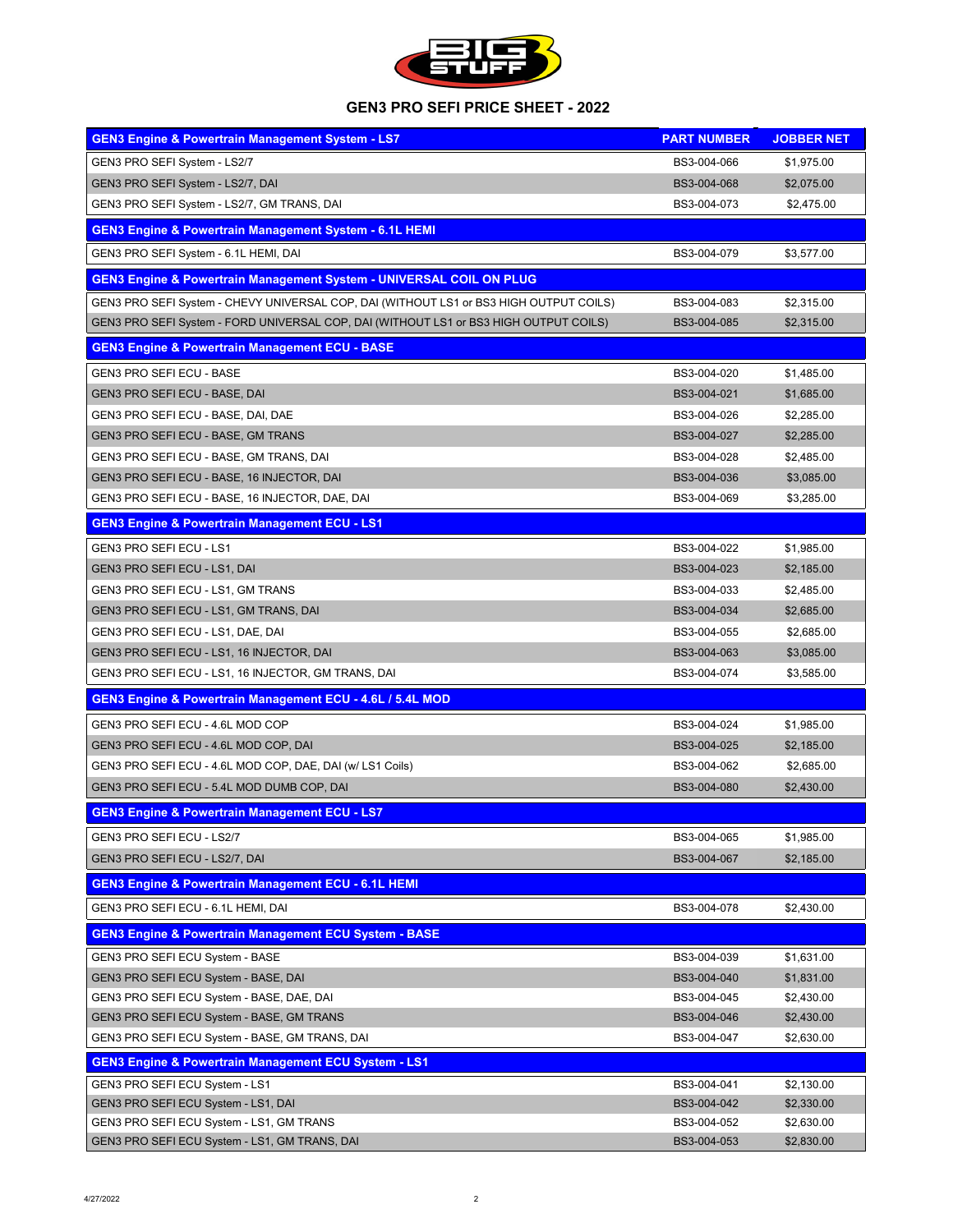

| <b>GEN3 Engine &amp; Powertrain Management System - LS7</b>                            | <b>PART NUMBER</b> | <b>JOBBER NET</b> |
|----------------------------------------------------------------------------------------|--------------------|-------------------|
| <b>GEN3 PRO SEFI System - LS2/7</b>                                                    | BS3-004-066        | \$1,975.00        |
| GEN3 PRO SEFI System - LS2/7, DAI                                                      | BS3-004-068        | \$2,075.00        |
| GEN3 PRO SEFI System - LS2/7, GM TRANS, DAI                                            | BS3-004-073        | \$2,475.00        |
| <b>GEN3 Engine &amp; Powertrain Management System - 6.1L HEMI</b>                      |                    |                   |
| GEN3 PRO SEFI System - 6.1L HEMI, DAI                                                  | BS3-004-079        | \$3,577.00        |
| <b>GEN3 Engine &amp; Powertrain Management System - UNIVERSAL COIL ON PLUG</b>         |                    |                   |
| GEN3 PRO SEFI System - CHEVY UNIVERSAL COP, DAI (WITHOUT LS1 or BS3 HIGH OUTPUT COILS) | BS3-004-083        | \$2,315.00        |
| GEN3 PRO SEFI System - FORD UNIVERSAL COP, DAI (WITHOUT LS1 or BS3 HIGH OUTPUT COILS)  | BS3-004-085        | \$2,315.00        |
| <b>GEN3 Engine &amp; Powertrain Management ECU - BASE</b>                              |                    |                   |
| <b>GEN3 PRO SEFI ECU - BASE</b>                                                        | BS3-004-020        | \$1,485.00        |
| <b>GEN3 PRO SEFI ECU - BASE, DAI</b>                                                   | BS3-004-021        | \$1,685.00        |
| GEN3 PRO SEFI ECU - BASE, DAI, DAE                                                     | BS3-004-026        | \$2,285.00        |
| <b>GEN3 PRO SEFI ECU - BASE, GM TRANS</b>                                              | BS3-004-027        | \$2,285.00        |
| GEN3 PRO SEFI ECU - BASE, GM TRANS, DAI                                                | BS3-004-028        | \$2,485.00        |
| GEN3 PRO SEFI ECU - BASE, 16 INJECTOR, DAI                                             | BS3-004-036        | \$3,085.00        |
| GEN3 PRO SEFI ECU - BASE, 16 INJECTOR, DAE, DAI                                        | BS3-004-069        | \$3,285.00        |
| <b>GEN3 Engine &amp; Powertrain Management ECU - LS1</b>                               |                    |                   |
| <b>GEN3 PRO SEFI ECU - LS1</b>                                                         | BS3-004-022        | \$1,985.00        |
| <b>GEN3 PRO SEFI ECU - LS1, DAI</b>                                                    | BS3-004-023        | \$2,185.00        |
| <b>GEN3 PRO SEFI ECU - LS1, GM TRANS</b>                                               | BS3-004-033        | \$2,485.00        |
| GEN3 PRO SEFI ECU - LS1, GM TRANS, DAI                                                 | BS3-004-034        | \$2,685.00        |
| GEN3 PRO SEFI ECU - LS1, DAE, DAI                                                      | BS3-004-055        | \$2,685.00        |
| GEN3 PRO SEFI ECU - LS1, 16 INJECTOR, DAI                                              | BS3-004-063        | \$3,085.00        |
| GEN3 PRO SEFI ECU - LS1, 16 INJECTOR, GM TRANS, DAI                                    | BS3-004-074        | \$3,585.00        |
| <b>GEN3 Engine &amp; Powertrain Management ECU - 4.6L / 5.4L MOD</b>                   |                    |                   |
| GEN3 PRO SEFI ECU - 4.6L MOD COP                                                       | BS3-004-024        | \$1,985.00        |
| GEN3 PRO SEFI ECU - 4.6L MOD COP, DAI                                                  | BS3-004-025        | \$2,185.00        |
| GEN3 PRO SEFI ECU - 4.6L MOD COP, DAE, DAI (w/ LS1 Coils)                              | BS3-004-062        | \$2,685.00        |
| GEN3 PRO SEFI ECU - 5.4L MOD DUMB COP, DAI                                             | BS3-004-080        | \$2,430.00        |
| <b>GEN3 Engine &amp; Powertrain Management ECU - LS7</b>                               |                    |                   |
| <b>GEN3 PRO SEFI ECU - LS2/7</b>                                                       | BS3-004-065        | \$1,985.00        |
| <b>GEN3 PRO SEFI ECU - LS2/7, DAI</b>                                                  | BS3-004-067        | \$2,185.00        |
| <b>GEN3 Engine &amp; Powertrain Management ECU - 6.1L HEMI</b>                         |                    |                   |
| <b>GEN3 PRO SEFI ECU - 6.1L HEMI, DAI</b>                                              | BS3-004-078        | \$2,430.00        |
| <b>GEN3 Engine &amp; Powertrain Management ECU System - BASE</b>                       |                    |                   |
| <b>GEN3 PRO SEFI ECU System - BASE</b>                                                 | BS3-004-039        | \$1,631.00        |
| <b>GEN3 PRO SEFI ECU System - BASE, DAI</b>                                            | BS3-004-040        | \$1,831.00        |
| GEN3 PRO SEFI ECU System - BASE, DAE, DAI                                              | BS3-004-045        | \$2,430.00        |
| <b>GEN3 PRO SEFI ECU System - BASE, GM TRANS</b>                                       | BS3-004-046        | \$2,430.00        |
| GEN3 PRO SEFI ECU System - BASE, GM TRANS, DAI                                         | BS3-004-047        | \$2,630.00        |
| <b>GEN3 Engine &amp; Powertrain Management ECU System - LS1</b>                        |                    |                   |
| <b>GEN3 PRO SEFI ECU System - LS1</b>                                                  | BS3-004-041        | \$2,130.00        |
| <b>GEN3 PRO SEFI ECU System - LS1, DAI</b>                                             | BS3-004-042        | \$2,330.00        |
| GEN3 PRO SEFI ECU System - LS1, GM TRANS                                               | BS3-004-052        | \$2,630.00        |
| GEN3 PRO SEFI ECU System - LS1, GM TRANS, DAI                                          | BS3-004-053        | \$2,830.00        |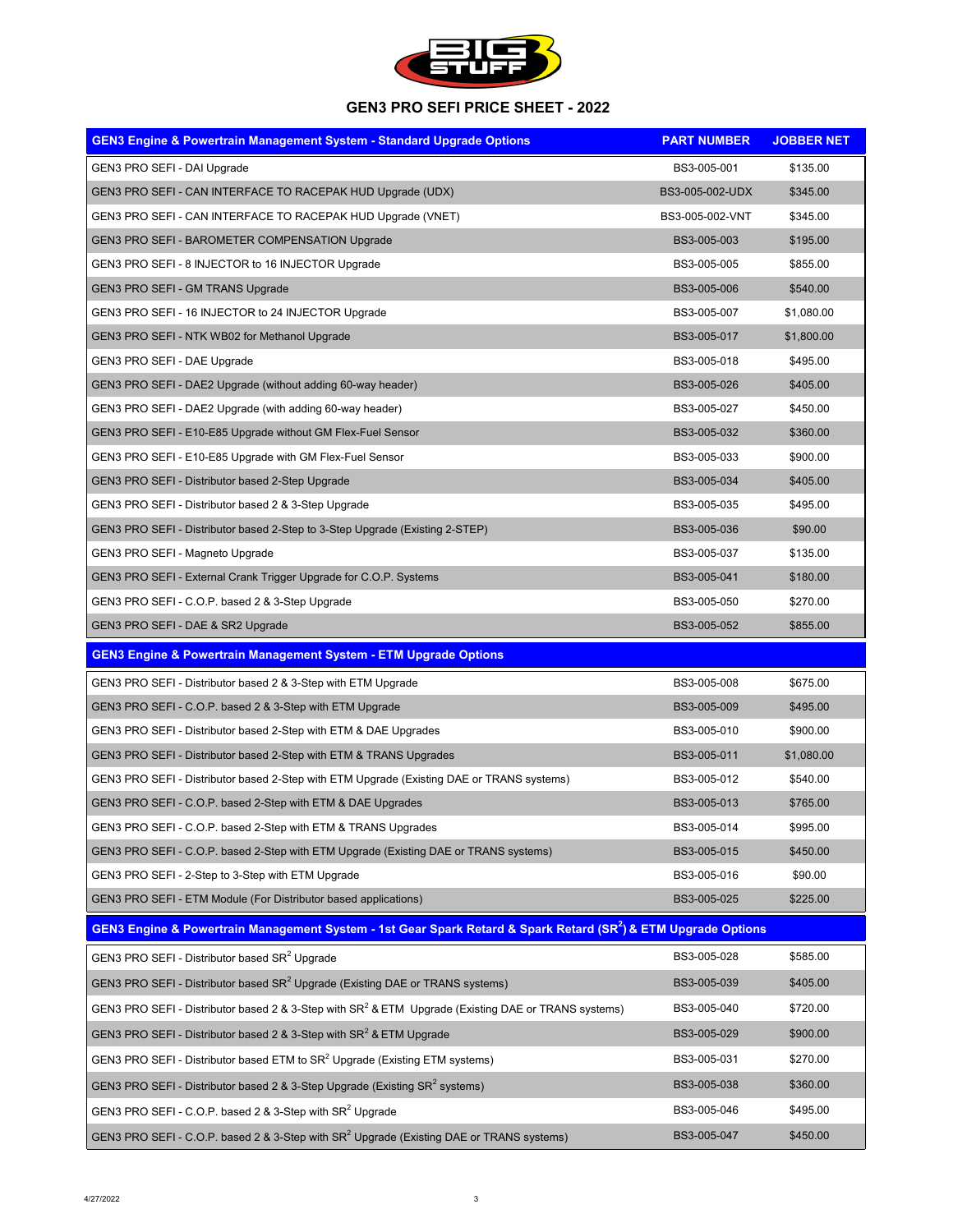

| <b>GEN3 Engine &amp; Powertrain Management System - Standard Upgrade Options</b>          | <b>PART NUMBER</b> | <b>JOBBER NET</b> |
|-------------------------------------------------------------------------------------------|--------------------|-------------------|
| <b>GEN3 PRO SEFI - DAI Upgrade</b>                                                        | BS3-005-001        | \$135.00          |
| GEN3 PRO SEFI - CAN INTERFACE TO RACEPAK HUD Upgrade (UDX)                                | BS3-005-002-UDX    | \$345.00          |
| GEN3 PRO SEFI - CAN INTERFACE TO RACEPAK HUD Upgrade (VNET)                               | BS3-005-002-VNT    | \$345.00          |
| <b>GEN3 PRO SEFI - BAROMETER COMPENSATION Upgrade</b>                                     | BS3-005-003        | \$195.00          |
| GEN3 PRO SEFI - 8 INJECTOR to 16 INJECTOR Upgrade                                         | BS3-005-005        | \$855.00          |
| <b>GEN3 PRO SEFI - GM TRANS Upgrade</b>                                                   | BS3-005-006        | \$540.00          |
| GEN3 PRO SEFI - 16 INJECTOR to 24 INJECTOR Upgrade                                        | BS3-005-007        | \$1,080.00        |
| <b>GEN3 PRO SEFI - NTK WB02 for Methanol Upgrade</b>                                      | BS3-005-017        | \$1,800.00        |
| <b>GEN3 PRO SEFI - DAE Upgrade</b>                                                        | BS3-005-018        | \$495.00          |
| GEN3 PRO SEFI - DAE2 Upgrade (without adding 60-way header)                               | BS3-005-026        | \$405.00          |
| GEN3 PRO SEFI - DAE2 Upgrade (with adding 60-way header)                                  | BS3-005-027        | \$450.00          |
| GEN3 PRO SEFI - E10-E85 Upgrade without GM Flex-Fuel Sensor                               | BS3-005-032        | \$360.00          |
| GEN3 PRO SEFI - E10-E85 Upgrade with GM Flex-Fuel Sensor                                  | BS3-005-033        | \$900.00          |
| <b>GEN3 PRO SEFI - Distributor based 2-Step Upgrade</b>                                   | BS3-005-034        | \$405.00          |
| GEN3 PRO SEFI - Distributor based 2 & 3-Step Upgrade                                      | BS3-005-035        | \$495.00          |
| GEN3 PRO SEFI - Distributor based 2-Step to 3-Step Upgrade (Existing 2-STEP)              | BS3-005-036        | \$90.00           |
| <b>GEN3 PRO SEFI - Magneto Upgrade</b>                                                    | BS3-005-037        | \$135.00          |
| GEN3 PRO SEFI - External Crank Trigger Upgrade for C.O.P. Systems                         | BS3-005-041        | \$180.00          |
| GEN3 PRO SEFI - C.O.P. based 2 & 3-Step Upgrade                                           | BS3-005-050        | \$270.00          |
| GEN3 PRO SEFI - DAE & SR2 Upgrade                                                         | BS3-005-052        | \$855.00          |
| <b>GEN3 Engine &amp; Powertrain Management System - ETM Upgrade Options</b>               |                    |                   |
| GEN3 PRO SEFI - Distributor based 2 & 3-Step with ETM Upgrade                             | BS3-005-008        | \$675.00          |
| GEN3 PRO SEFI - C.O.P. based 2 & 3-Step with ETM Upgrade                                  | BS3-005-009        | \$495.00          |
| GEN3 PRO SEFI - Distributor based 2-Step with ETM & DAE Upgrades                          | BS3-005-010        | \$900.00          |
| GEN3 PRO SEFI - Distributor based 2-Step with ETM & TRANS Upgrades                        | BS3-005-011        | \$1,080.00        |
| GEN3 PRO SEFI - Distributor based 2-Step with ETM Upgrade (Existing DAE or TRANS systems) | BS3-005-012        | \$540.00          |
| GEN3 PRO SEFI - C.O.P. based 2-Step with ETM & DAE Upgrades                               | BS3-005-013        | \$765.00          |
| GEN3 PRO SEFI - C.O.P. based 2-Step with ETM & TRANS Upgrades                             | BS3-005-014        | \$995.00          |
| GEN3 PRO SEFI - C.O.P. based 2-Step with ETM Upgrade (Existing DAE or TRANS systems)      | BS3-005-015        | \$450.00          |
| GEN3 PRO SEFI - 2-Step to 3-Step with ETM Upgrade                                         | BS3-005-016        | \$90.00           |
|                                                                                           |                    |                   |

#### **GEN3 Engine & Powertrain Management System - 1st Gear Spark Retard & Spark Retard (SR<sup>2</sup> ) & ETM Upgrade Options**

| GEN3 PRO SEFI - Distributor based SR <sup>2</sup> Upgrade                                                       | BS3-005-028 | \$585.00 |
|-----------------------------------------------------------------------------------------------------------------|-------------|----------|
| GEN3 PRO SEFI - Distributor based SR <sup>2</sup> Upgrade (Existing DAE or TRANS systems)                       | BS3-005-039 | \$405.00 |
| GEN3 PRO SEFI - Distributor based 2 & 3-Step with SR <sup>2</sup> & ETM Upgrade (Existing DAE or TRANS systems) | BS3-005-040 | \$720.00 |
| GEN3 PRO SEFI - Distributor based 2 & 3-Step with $SR^2$ & ETM Upgrade                                          | BS3-005-029 | \$900.00 |
| GEN3 PRO SEFI - Distributor based ETM to SR <sup>2</sup> Upgrade (Existing ETM systems)                         | BS3-005-031 | \$270.00 |
| GEN3 PRO SEFI - Distributor based 2 & 3-Step Upgrade (Existing SR <sup>2</sup> systems)                         | BS3-005-038 | \$360.00 |
| GEN3 PRO SEFI - C.O.P. based 2 & 3-Step with SR <sup>2</sup> Upgrade                                            | BS3-005-046 | \$495.00 |
| GEN3 PRO SEFI - C.O.P. based 2 & 3-Step with SR <sup>2</sup> Upgrade (Existing DAE or TRANS systems)            | BS3-005-047 | \$450.00 |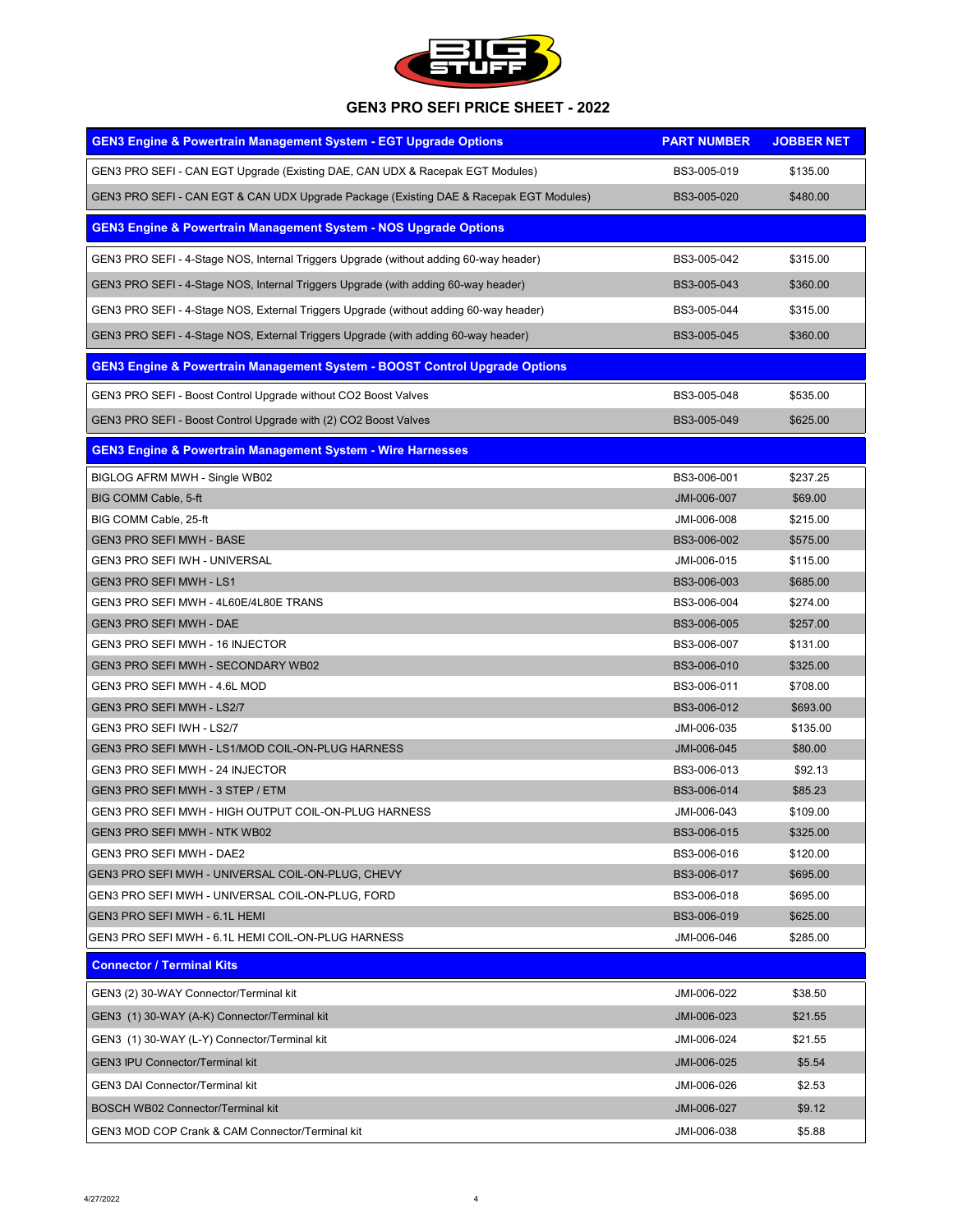

| <b>GEN3 Engine &amp; Powertrain Management System - EGT Upgrade Options</b>            | <b>PART NUMBER</b> | <b>JOBBER NET</b> |
|----------------------------------------------------------------------------------------|--------------------|-------------------|
| GEN3 PRO SEFI - CAN EGT Upgrade (Existing DAE, CAN UDX & Racepak EGT Modules)          | BS3-005-019        | \$135.00          |
| GEN3 PRO SEFI - CAN EGT & CAN UDX Upgrade Package (Existing DAE & Racepak EGT Modules) | BS3-005-020        | \$480.00          |
| <b>GEN3 Engine &amp; Powertrain Management System - NOS Upgrade Options</b>            |                    |                   |
| GEN3 PRO SEFI - 4-Stage NOS, Internal Triggers Upgrade (without adding 60-way header)  | BS3-005-042        | \$315.00          |
| GEN3 PRO SEFI - 4-Stage NOS, Internal Triggers Upgrade (with adding 60-way header)     | BS3-005-043        | \$360.00          |
| GEN3 PRO SEFI - 4-Stage NOS, External Triggers Upgrade (without adding 60-way header)  | BS3-005-044        | \$315.00          |
| GEN3 PRO SEFI - 4-Stage NOS, External Triggers Upgrade (with adding 60-way header)     | BS3-005-045        | \$360.00          |
| <b>GEN3 Engine &amp; Powertrain Management System - BOOST Control Upgrade Options</b>  |                    |                   |
| GEN3 PRO SEFI - Boost Control Upgrade without CO2 Boost Valves                         | BS3-005-048        | \$535.00          |
| GEN3 PRO SEFI - Boost Control Upgrade with (2) CO2 Boost Valves                        | BS3-005-049        | \$625.00          |
| <b>GEN3 Engine &amp; Powertrain Management System - Wire Harnesses</b>                 |                    |                   |
| <b>BIGLOG AFRM MWH - Single WB02</b>                                                   | BS3-006-001        | \$237.25          |
| <b>BIG COMM Cable, 5-ft</b>                                                            | JMI-006-007        | \$69.00           |
| <b>BIG COMM Cable, 25-ft</b>                                                           | JMI-006-008        | \$215.00          |
| <b>GEN3 PRO SEFI MWH - BASE</b>                                                        | BS3-006-002        | \$575.00          |
| <b>GEN3 PRO SEFI IWH - UNIVERSAL</b>                                                   | JMI-006-015        | \$115.00          |
| <b>GEN3 PRO SEFI MWH - LS1</b>                                                         | BS3-006-003        | \$685.00          |
| GEN3 PRO SEFI MWH - 4L60E/4L80E TRANS                                                  | BS3-006-004        | \$274.00          |
| <b>GEN3 PRO SEFI MWH - DAE</b>                                                         | BS3-006-005        | \$257.00          |
| <b>GEN3 PRO SEFI MWH - 16 INJECTOR</b>                                                 | BS3-006-007        | \$131.00          |
| <b>GEN3 PRO SEFI MWH - SECONDARY WB02</b>                                              | BS3-006-010        | \$325.00          |
| GEN3 PRO SEFI MWH - 4.6L MOD                                                           | BS3-006-011        | \$708.00          |
| <b>GEN3 PRO SEFI MWH - LS2/7</b>                                                       | BS3-006-012        | \$693.00          |
| <b>GEN3 PRO SEFI IWH - LS2/7</b>                                                       | JMI-006-035        | \$135.00          |
| GEN3 PRO SEFI MWH - LS1/MOD COIL-ON-PLUG HARNESS                                       | JMI-006-045        | \$80.00           |
| GEN3 PRO SEFI MWH - 24 INJECTOR                                                        | BS3-006-013        | \$92.13           |
| GEN3 PRO SEFI MWH - 3 STEP / ETM                                                       | BS3-006-014        | \$85.23           |
| GEN3 PRO SEFI MWH - HIGH OUTPUT COIL-ON-PLUG HARNESS                                   | JMI-006-043        | \$109.00          |
| <b>GEN3 PRO SEFI MWH - NTK WB02</b>                                                    | BS3-006-015        | \$325.00          |
| <b>GEN3 PRO SEFI MWH - DAE2</b>                                                        | BS3-006-016        | \$120.00          |
| GEN3 PRO SEFI MWH - UNIVERSAL COIL-ON-PLUG, CHEVY                                      | BS3-006-017        | \$695.00          |
| GEN3 PRO SEFI MWH - UNIVERSAL COIL-ON-PLUG, FORD                                       | BS3-006-018        | \$695.00          |
| <b>GEN3 PRO SEFI MWH - 6.1L HEMI</b>                                                   | BS3-006-019        | \$625.00          |
| GEN3 PRO SEFI MWH - 6.1L HEMI COIL-ON-PLUG HARNESS                                     | JMI-006-046        | \$285.00          |
| <b>Connector / Terminal Kits</b>                                                       |                    |                   |
| GEN3 (2) 30-WAY Connector/Terminal kit                                                 | JMI-006-022        | \$38.50           |
| GEN3 (1) 30-WAY (A-K) Connector/Terminal kit                                           | JMI-006-023        | \$21.55           |
| GEN3 (1) 30-WAY (L-Y) Connector/Terminal kit                                           | JMI-006-024        | \$21.55           |
| <b>GEN3 IPU Connector/Terminal kit</b>                                                 | JMI-006-025        | \$5.54            |
| <b>GEN3 DAI Connector/Terminal kit</b>                                                 | JMI-006-026        | \$2.53            |
| <b>BOSCH WB02 Connector/Terminal kit</b>                                               | JMI-006-027        | \$9.12            |
| <b>GEN3 MOD COP Crank &amp; CAM Connector/Terminal kit</b>                             | JMI-006-038        | \$5.88            |